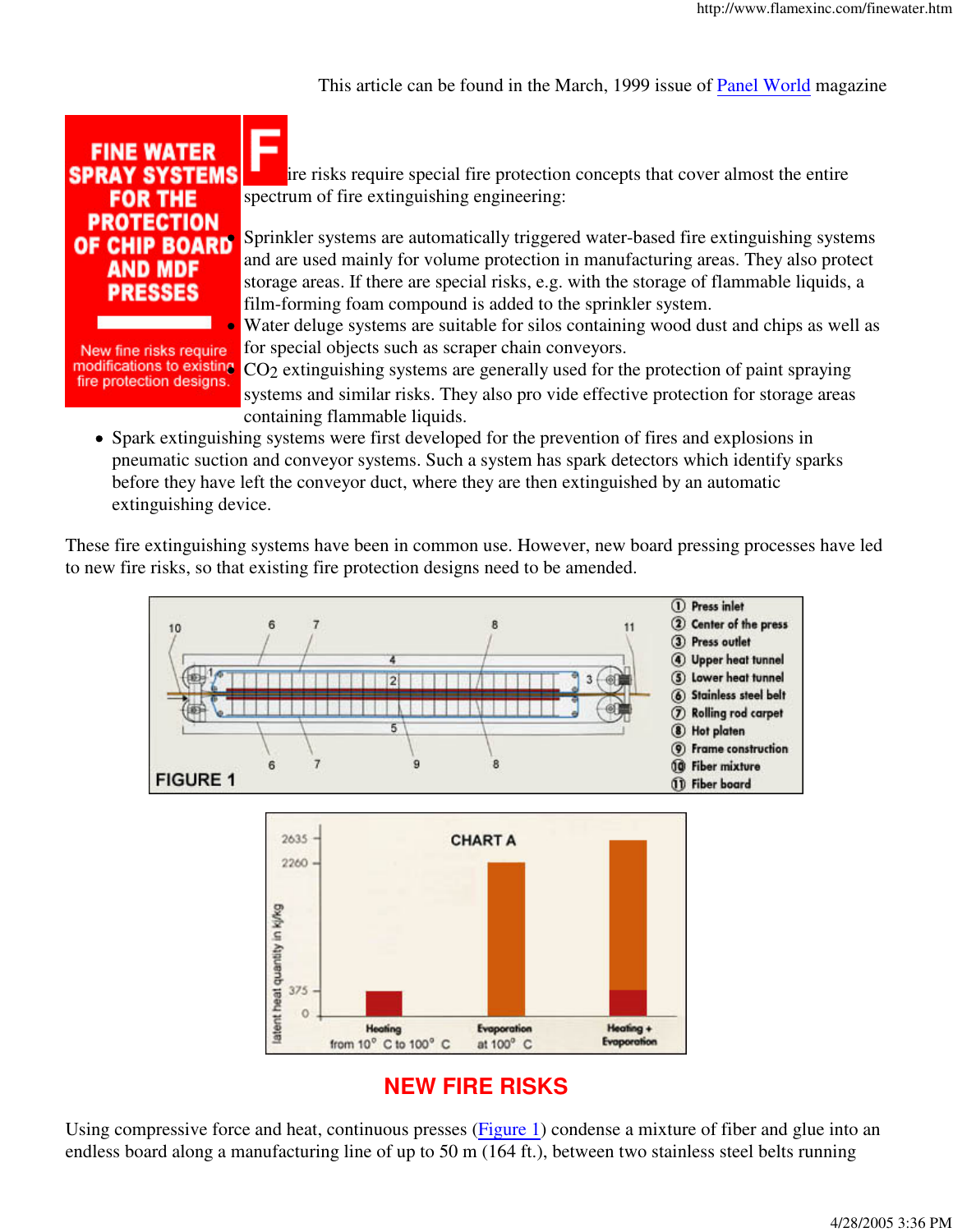This article can be found in the March, 1999 issue of Panel World magazine



New fine risks require fire protection designs.

ire risks require special fire protection concepts that cover almost the entire spectrum of fire extinguishing engineering:

Sprinkler systems are automatically triggered water-based fire extinguishing systems and are used mainly for volume protection in manufacturing areas. They also protect storage areas. If there are special risks, e.g. with the storage of flammable liquids, a film-forming foam compound is added to the sprinkler system.

Water deluge systems are suitable for silos containing wood dust and chips as well as for special objects such as scraper chain conveyors.

modifications to existing CO<sub>2</sub> extinguishing systems are generally used for the protection of paint spraying systems and similar risks. They also pro vide effective protection for storage areas containing flammable liquids.

Spark extinguishing systems were first developed for the prevention of fires and explosions in pneumatic suction and conveyor systems. Such a system has spark detectors which identify sparks before they have left the conveyor duct, where they are then extinguished by an automatic extinguishing device.

These fire extinguishing systems have been in common use. However, new board pressing processes have led to new fire risks, so that existing fire protection designs need to be amended.



## **NEW FIRE RISKS**

Using compressive force and heat, continuous presses (Figure 1) condense a mixture of fiber and glue into an endless board along a manufacturing line of up to 50 m (164 ft.), between two stainless steel belts running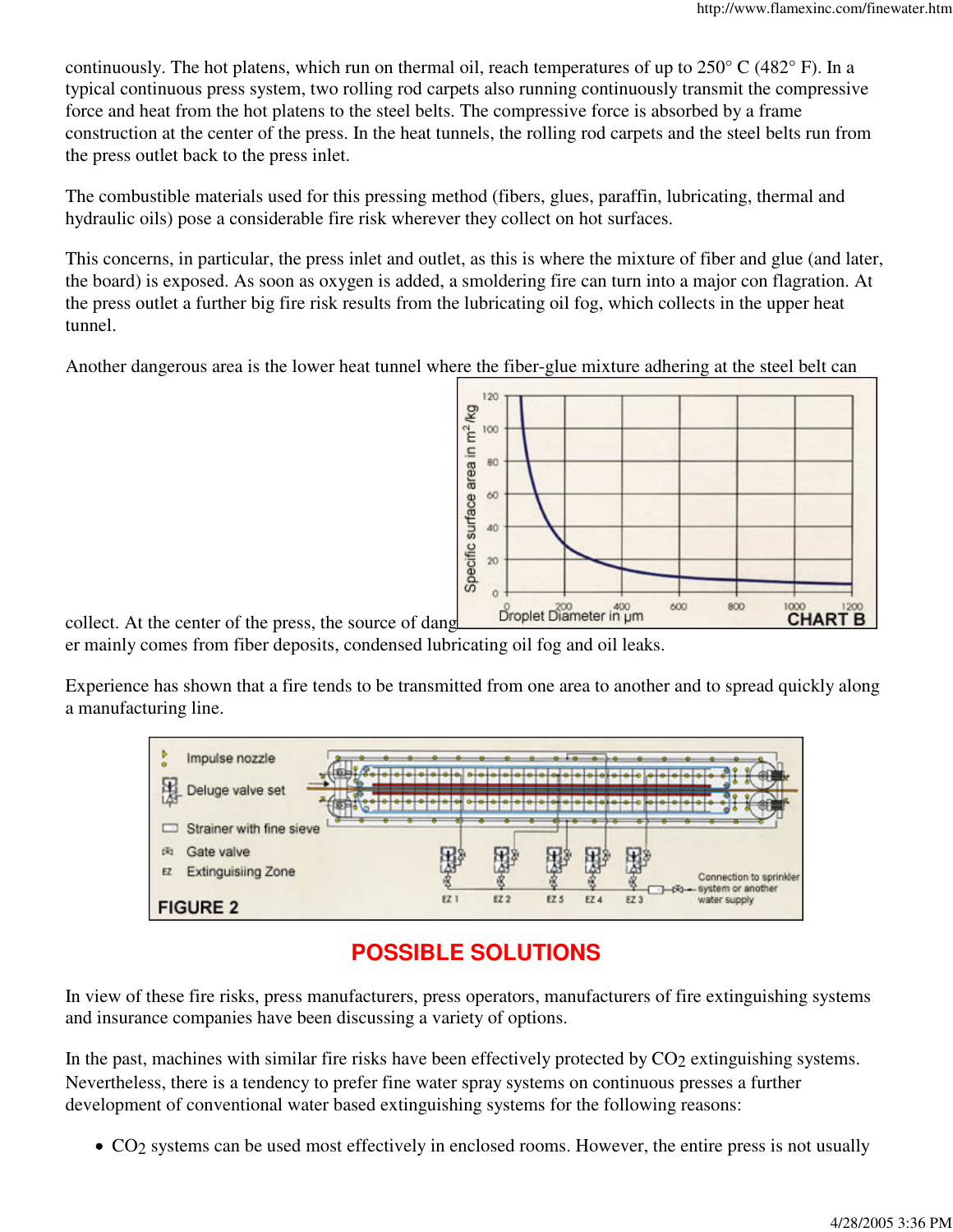continuously. The hot platens, which run on thermal oil, reach temperatures of up to 250° C (482° F). In a typical continuous press system, two rolling rod carpets also running continuously transmit the compressive force and heat from the hot platens to the steel belts. The compressive force is absorbed by a frame construction at the center of the press. In the heat tunnels, the rolling rod carpets and the steel belts run from the press outlet back to the press inlet.

The combustible materials used for this pressing method (fibers, glues, paraffin, lubricating, thermal and hydraulic oils) pose a considerable fire risk wherever they collect on hot surfaces.

This concerns, in particular, the press inlet and outlet, as this is where the mixture of fiber and glue (and later, the board) is exposed. As soon as oxygen is added, a smoldering fire can turn into a major con flagration. At the press outlet a further big fire risk results from the lubricating oil fog, which collects in the upper heat tunnel.

Another dangerous area is the lower heat tunnel where the fiber-glue mixture adhering at the steel belt can



collect. At the center of the press, the source of dang er mainly comes from fiber deposits, condensed lubricating oil fog and oil leaks.

Experience has shown that a fire tends to be transmitted from one area to another and to spread quickly along a manufacturing line.



# **POSSIBLE SOLUTIONS**

In view of these fire risks, press manufacturers, press operators, manufacturers of fire extinguishing systems and insurance companies have been discussing a variety of options.

In the past, machines with similar fire risks have been effectively protected by  $CO<sub>2</sub>$  extinguishing systems. Nevertheless, there is a tendency to prefer fine water spray systems on continuous presses a further development of conventional water based extinguishing systems for the following reasons:

• CO<sub>2</sub> systems can be used most effectively in enclosed rooms. However, the entire press is not usually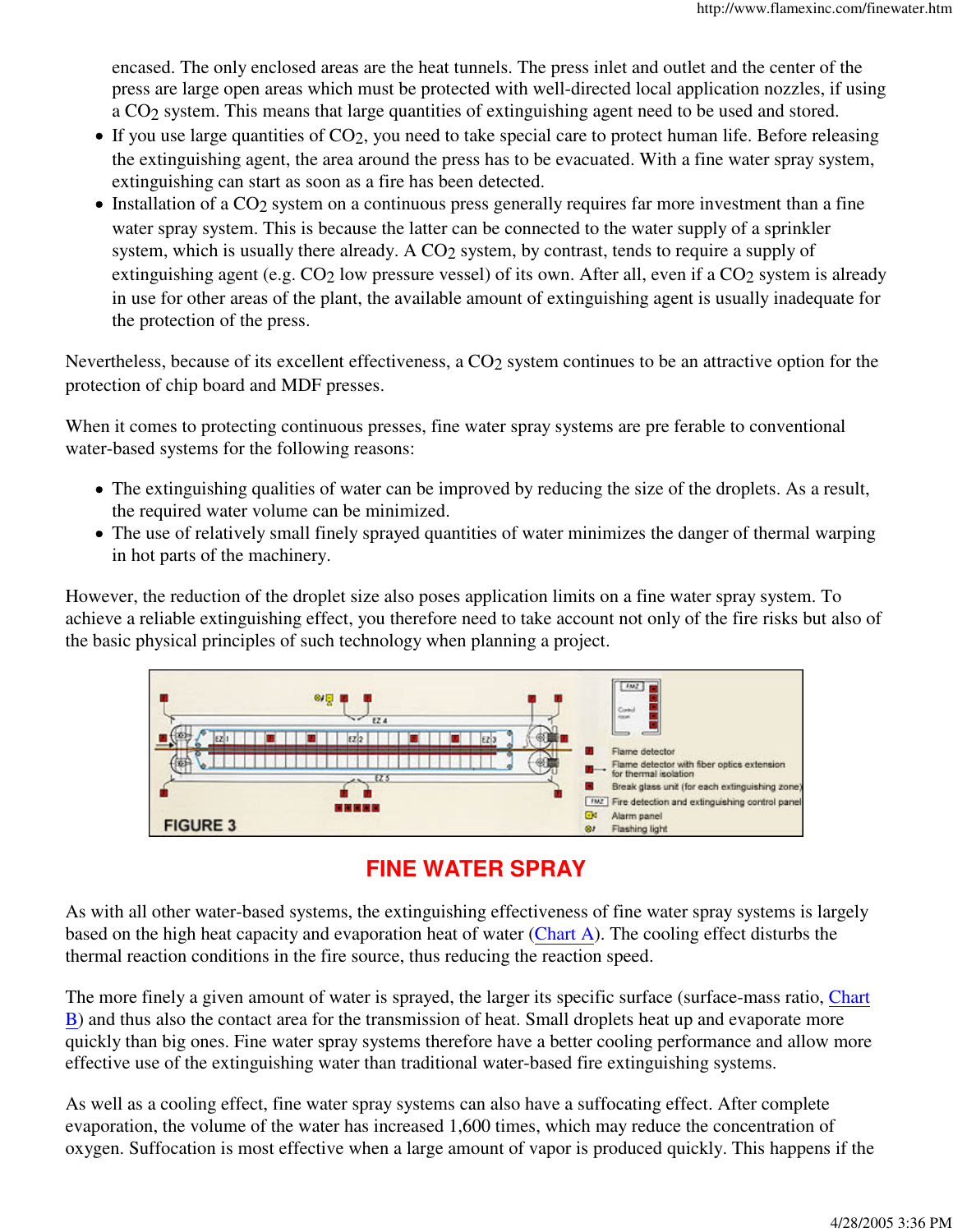encased. The only enclosed areas are the heat tunnels. The press inlet and outlet and the center of the press are large open areas which must be protected with well-directed local application nozzles, if using a CO2 system. This means that large quantities of extinguishing agent need to be used and stored.

- $\bullet$  If you use large quantities of CO<sub>2</sub>, you need to take special care to protect human life. Before releasing the extinguishing agent, the area around the press has to be evacuated. With a fine water spray system, extinguishing can start as soon as a fire has been detected.
- Installation of a CO<sub>2</sub> system on a continuous press generally requires far more investment than a fine water spray system. This is because the latter can be connected to the water supply of a sprinkler system, which is usually there already. A CO<sub>2</sub> system, by contrast, tends to require a supply of extinguishing agent (e.g. CO<sub>2</sub> low pressure vessel) of its own. After all, even if a CO<sub>2</sub> system is already in use for other areas of the plant, the available amount of extinguishing agent is usually inadequate for the protection of the press.

Nevertheless, because of its excellent effectiveness, a CO<sub>2</sub> system continues to be an attractive option for the protection of chip board and MDF presses.

When it comes to protecting continuous presses, fine water spray systems are pre ferable to conventional water-based systems for the following reasons:

- The extinguishing qualities of water can be improved by reducing the size of the droplets. As a result, the required water volume can be minimized.
- The use of relatively small finely sprayed quantities of water minimizes the danger of thermal warping in hot parts of the machinery.

However, the reduction of the droplet size also poses application limits on a fine water spray system. To achieve a reliable extinguishing effect, you therefore need to take account not only of the fire risks but also of the basic physical principles of such technology when planning a project.



## **FINE WATER SPRAY**

As with all other water-based systems, the extinguishing effectiveness of fine water spray systems is largely based on the high heat capacity and evaporation heat of water (Chart A). The cooling effect disturbs the thermal reaction conditions in the fire source, thus reducing the reaction speed.

The more finely a given amount of water is sprayed, the larger its specific surface (surface-mass ratio, Chart B) and thus also the contact area for the transmission of heat. Small droplets heat up and evaporate more quickly than big ones. Fine water spray systems therefore have a better cooling performance and allow more effective use of the extinguishing water than traditional water-based fire extinguishing systems.

As well as a cooling effect, fine water spray systems can also have a suffocating effect. After complete evaporation, the volume of the water has increased 1,600 times, which may reduce the concentration of oxygen. Suffocation is most effective when a large amount of vapor is produced quickly. This happens if the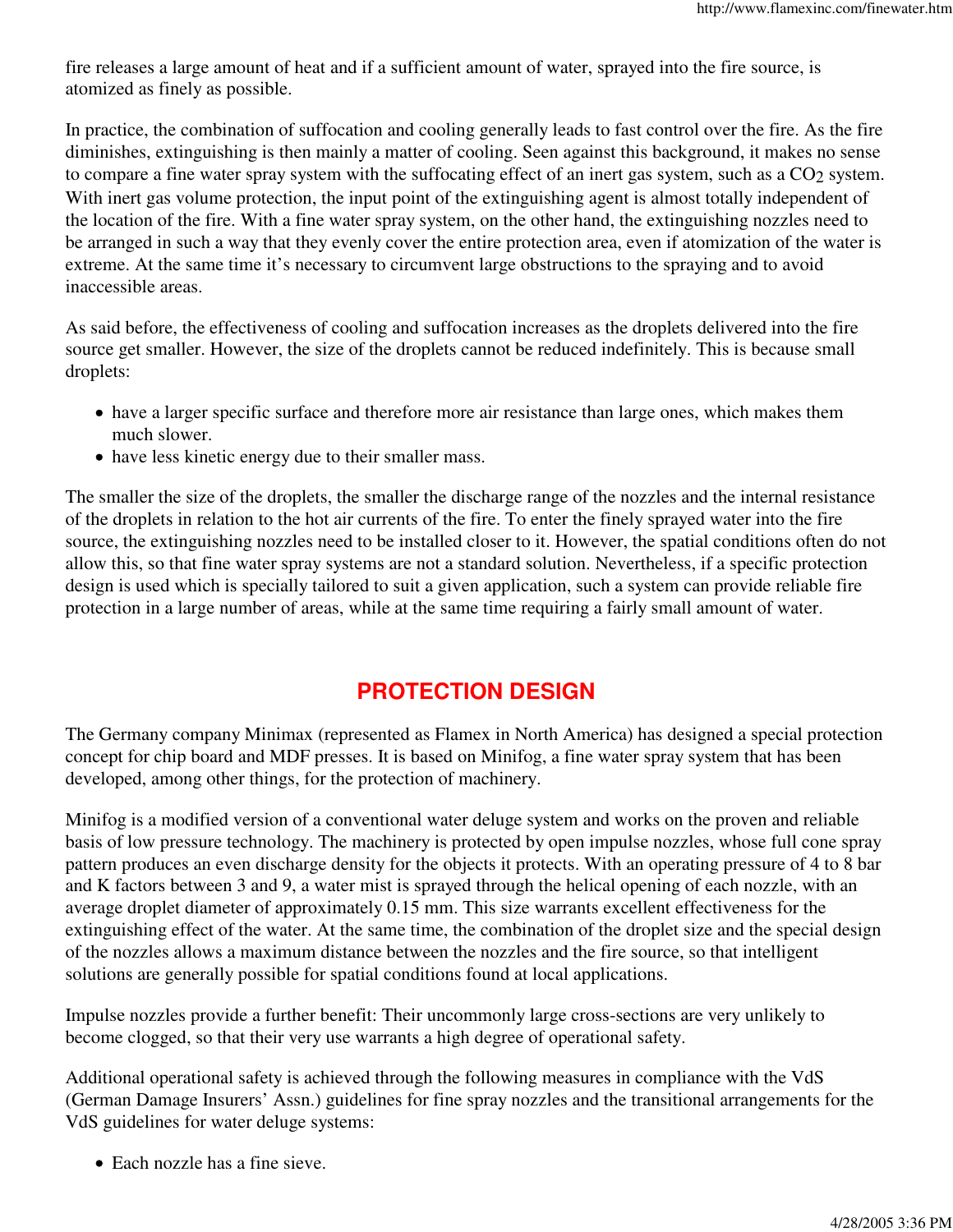fire releases a large amount of heat and if a sufficient amount of water, sprayed into the fire source, is atomized as finely as possible.

In practice, the combination of suffocation and cooling generally leads to fast control over the fire. As the fire diminishes, extinguishing is then mainly a matter of cooling. Seen against this background, it makes no sense to compare a fine water spray system with the suffocating effect of an inert gas system, such as a CO<sub>2</sub> system. With inert gas volume protection, the input point of the extinguishing agent is almost totally independent of the location of the fire. With a fine water spray system, on the other hand, the extinguishing nozzles need to be arranged in such a way that they evenly cover the entire protection area, even if atomization of the water is extreme. At the same time it's necessary to circumvent large obstructions to the spraying and to avoid inaccessible areas.

As said before, the effectiveness of cooling and suffocation increases as the droplets delivered into the fire source get smaller. However, the size of the droplets cannot be reduced indefinitely. This is because small droplets:

- have a larger specific surface and therefore more air resistance than large ones, which makes them much slower.
- have less kinetic energy due to their smaller mass.

The smaller the size of the droplets, the smaller the discharge range of the nozzles and the internal resistance of the droplets in relation to the hot air currents of the fire. To enter the finely sprayed water into the fire source, the extinguishing nozzles need to be installed closer to it. However, the spatial conditions often do not allow this, so that fine water spray systems are not a standard solution. Nevertheless, if a specific protection design is used which is specially tailored to suit a given application, such a system can provide reliable fire protection in a large number of areas, while at the same time requiring a fairly small amount of water.

### **PROTECTION DESIGN**

The Germany company Minimax (represented as Flamex in North America) has designed a special protection concept for chip board and MDF presses. It is based on Minifog, a fine water spray system that has been developed, among other things, for the protection of machinery.

Minifog is a modified version of a conventional water deluge system and works on the proven and reliable basis of low pressure technology. The machinery is protected by open impulse nozzles, whose full cone spray pattern produces an even discharge density for the objects it protects. With an operating pressure of 4 to 8 bar and K factors between 3 and 9, a water mist is sprayed through the helical opening of each nozzle, with an average droplet diameter of approximately 0.15 mm. This size warrants excellent effectiveness for the extinguishing effect of the water. At the same time, the combination of the droplet size and the special design of the nozzles allows a maximum distance between the nozzles and the fire source, so that intelligent solutions are generally possible for spatial conditions found at local applications.

Impulse nozzles provide a further benefit: Their uncommonly large cross-sections are very unlikely to become clogged, so that their very use warrants a high degree of operational safety.

Additional operational safety is achieved through the following measures in compliance with the VdS (German Damage Insurers' Assn.) guidelines for fine spray nozzles and the transitional arrangements for the VdS guidelines for water deluge systems:

Each nozzle has a fine sieve.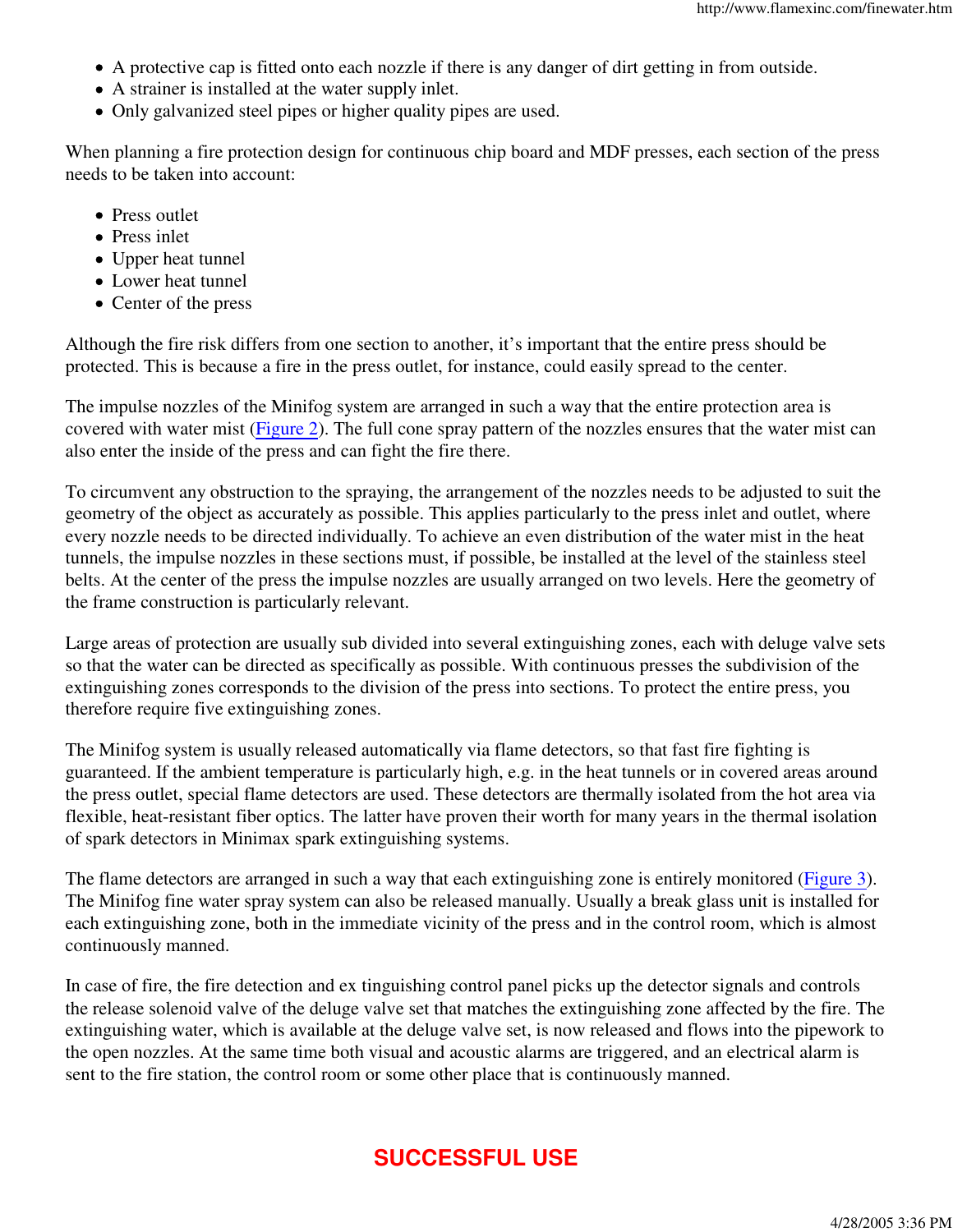- A protective cap is fitted onto each nozzle if there is any danger of dirt getting in from outside.
- A strainer is installed at the water supply inlet.
- Only galvanized steel pipes or higher quality pipes are used.

When planning a fire protection design for continuous chip board and MDF presses, each section of the press needs to be taken into account:

- Press outlet
- Press inlet
- Upper heat tunnel
- Lower heat tunnel
- Center of the press

Although the fire risk differs from one section to another, it's important that the entire press should be protected. This is because a fire in the press outlet, for instance, could easily spread to the center.

The impulse nozzles of the Minifog system are arranged in such a way that the entire protection area is covered with water mist (Figure 2). The full cone spray pattern of the nozzles ensures that the water mist can also enter the inside of the press and can fight the fire there.

To circumvent any obstruction to the spraying, the arrangement of the nozzles needs to be adjusted to suit the geometry of the object as accurately as possible. This applies particularly to the press inlet and outlet, where every nozzle needs to be directed individually. To achieve an even distribution of the water mist in the heat tunnels, the impulse nozzles in these sections must, if possible, be installed at the level of the stainless steel belts. At the center of the press the impulse nozzles are usually arranged on two levels. Here the geometry of the frame construction is particularly relevant.

Large areas of protection are usually sub divided into several extinguishing zones, each with deluge valve sets so that the water can be directed as specifically as possible. With continuous presses the subdivision of the extinguishing zones corresponds to the division of the press into sections. To protect the entire press, you therefore require five extinguishing zones.

The Minifog system is usually released automatically via flame detectors, so that fast fire fighting is guaranteed. If the ambient temperature is particularly high, e.g. in the heat tunnels or in covered areas around the press outlet, special flame detectors are used. These detectors are thermally isolated from the hot area via flexible, heat-resistant fiber optics. The latter have proven their worth for many years in the thermal isolation of spark detectors in Minimax spark extinguishing systems.

The flame detectors are arranged in such a way that each extinguishing zone is entirely monitored (Figure 3). The Minifog fine water spray system can also be released manually. Usually a break glass unit is installed for each extinguishing zone, both in the immediate vicinity of the press and in the control room, which is almost continuously manned.

In case of fire, the fire detection and ex tinguishing control panel picks up the detector signals and controls the release solenoid valve of the deluge valve set that matches the extinguishing zone affected by the fire. The extinguishing water, which is available at the deluge valve set, is now released and flows into the pipework to the open nozzles. At the same time both visual and acoustic alarms are triggered, and an electrical alarm is sent to the fire station, the control room or some other place that is continuously manned.

## **SUCCESSFUL USE**